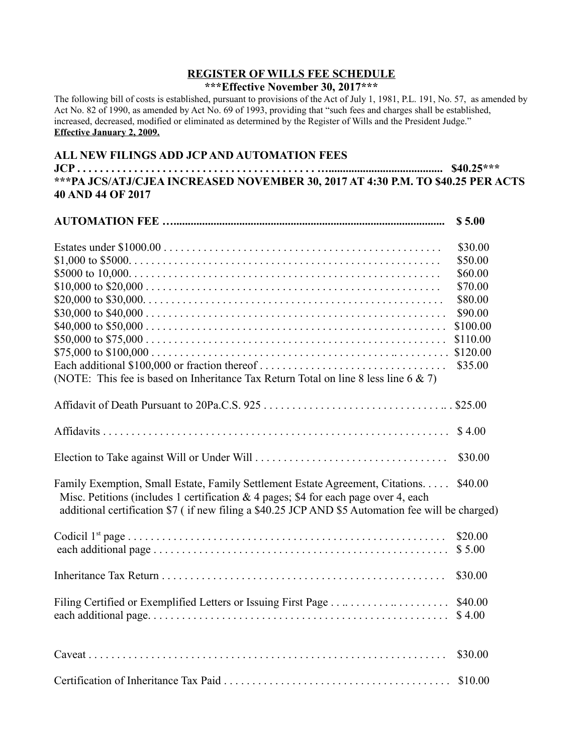## **REGISTER OF WILLS FEE SCHEDULE**

## **\*\*\*Effective November 30, 2017\*\*\***

The following bill of costs is established, pursuant to provisions of the Act of July 1, 1981, P.L. 191, No. 57, as amended by Act No. 82 of 1990, as amended by Act No. 69 of 1993, providing that "such fees and charges shall be established, increased, decreased, modified or eliminated as determined by the Register of Wills and the President Judge." **Effective January 2, 2009.**

## **ALL NEW FILINGS ADD JCP AND AUTOMATION FEES**

**JCP . . . . . . . . . . . . . . . . . . . . . . . . . . . . . . . . . . . . . . . . . . …........................................ \$40.25\*\*\* \*\*\*PA JCS/ATJ/CJEA INCREASED NOVEMBER 30, 2017 AT 4:30 P.M. TO \$40.25 PER ACTS 40 AND 44 OF 2017**

|                                                                                                                                                                                                                                                                            | \$5.00            |
|----------------------------------------------------------------------------------------------------------------------------------------------------------------------------------------------------------------------------------------------------------------------------|-------------------|
|                                                                                                                                                                                                                                                                            | \$30.00           |
|                                                                                                                                                                                                                                                                            | \$50.00           |
|                                                                                                                                                                                                                                                                            | \$60.00           |
|                                                                                                                                                                                                                                                                            | \$70.00           |
|                                                                                                                                                                                                                                                                            | \$80.00           |
|                                                                                                                                                                                                                                                                            | \$90.00           |
|                                                                                                                                                                                                                                                                            | \$100.00          |
|                                                                                                                                                                                                                                                                            | \$110.00          |
|                                                                                                                                                                                                                                                                            |                   |
| Each additional \$100,000 or fraction thereof<br>(NOTE: This fee is based on Inheritance Tax Return Total on line 8 less line $6 \& 7$ )                                                                                                                                   | \$35.00           |
|                                                                                                                                                                                                                                                                            |                   |
|                                                                                                                                                                                                                                                                            |                   |
|                                                                                                                                                                                                                                                                            | \$4.00            |
|                                                                                                                                                                                                                                                                            | \$30.00           |
| Family Exemption, Small Estate, Family Settlement Estate Agreement, Citations.<br>Misc. Petitions (includes 1 certification & 4 pages; \$4 for each page over 4, each<br>additional certification \$7 (if new filing a \$40.25 JCP AND \$5 Automation fee will be charged) | \$40.00           |
| each additional page $\dots \dots \dots \dots \dots \dots \dots \dots \dots \dots \dots \dots \dots \dots \dots \dots \dots$                                                                                                                                               | \$20.00<br>\$5.00 |
|                                                                                                                                                                                                                                                                            | \$30.00           |
|                                                                                                                                                                                                                                                                            | \$40.00<br>\$4.00 |
|                                                                                                                                                                                                                                                                            | \$30.00           |
|                                                                                                                                                                                                                                                                            | \$10.00           |